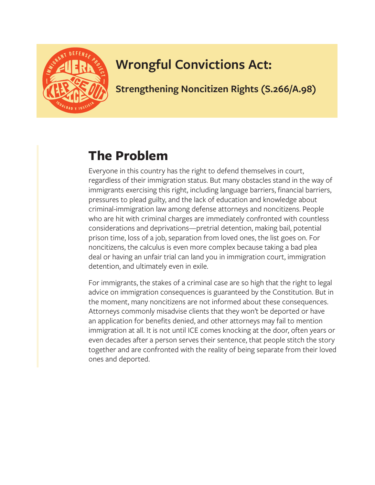

## **Wrongful Convictions Act:**

**Strengthening Noncitizen Rights (S.266/A.98)**

## **The Problem**

Everyone in this country has the right to defend themselves in court, regardless of their immigration status. But many obstacles stand in the way of immigrants exercising this right, including language barriers, financial barriers, pressures to plead guilty, and the lack of education and knowledge about criminal-immigration law among defense attorneys and noncitizens. People who are hit with criminal charges are immediately confronted with countless considerations and deprivations—pretrial detention, making bail, potential prison time, loss of a job, separation from loved ones, the list goes on. For noncitizens, the calculus is even more complex because taking a bad plea deal or having an unfair trial can land you in immigration court, immigration detention, and ultimately even in exile.

For immigrants, the stakes of a criminal case are so high that the right to legal advice on immigration consequences is guaranteed by the Constitution. But in the moment, many noncitizens are not informed about these consequences. Attorneys commonly misadvise clients that they won't be deported or have an application for benefits denied, and other attorneys may fail to mention immigration at all. It is not until ICE comes knocking at the door, often years or even decades after a person serves their sentence, that people stitch the story together and are confronted with the reality of being separate from their loved ones and deported.